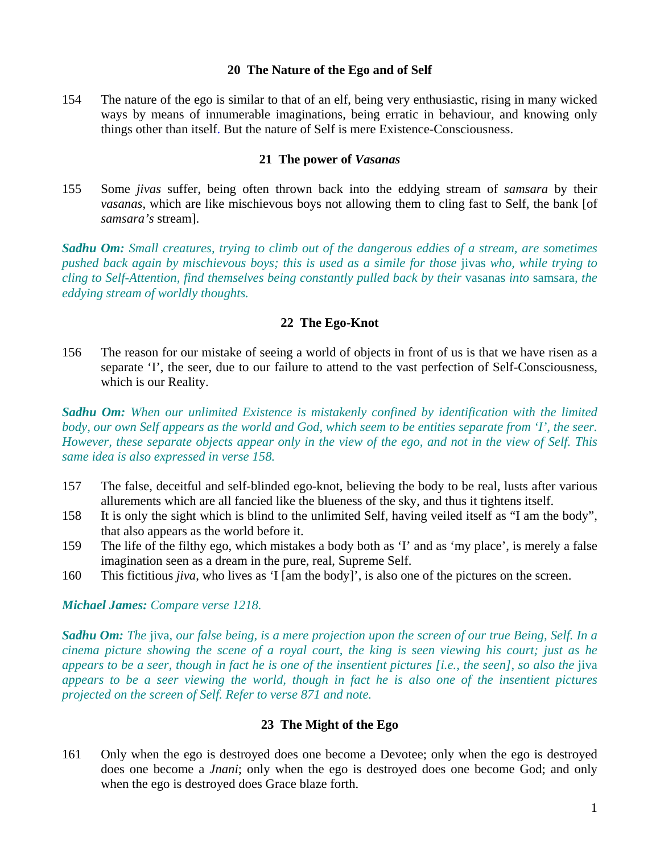## **20 The Nature of the Ego and of Self**

154 The nature of the ego is similar to that of an elf, being very enthusiastic, rising in many wicked ways by means of innumerable imaginations, being erratic in behaviour, and knowing only things other than itself. But the nature of Self is mere Existence-Consciousness.

### **21 The power of** *Vasanas*

155 Some *jivas* suffer, being often thrown back into the eddying stream of *samsara* by their *vasanas*, which are like mischievous boys not allowing them to cling fast to Self, the bank [of *samsara's* stream].

*Sadhu Om: Small creatures, trying to climb out of the dangerous eddies of a stream, are sometimes pushed back again by mischievous boys; this is used as a simile for those* jivas *who, while trying to cling to Self-Attention, find themselves being constantly pulled back by their* vasanas *into* samsara*, the eddying stream of worldly thoughts.* 

## **22 The Ego-Knot**

156 The reason for our mistake of seeing a world of objects in front of us is that we have risen as a separate 'I', the seer, due to our failure to attend to the vast perfection of Self-Consciousness, which is our Reality.

*Sadhu Om: When our unlimited Existence is mistakenly confined by identification with the limited body, our own Self appears as the world and God, which seem to be entities separate from 'I', the seer. However, these separate objects appear only in the view of the ego, and not in the view of Self. This same idea is also expressed in verse 158.* 

- 157 The false, deceitful and self-blinded ego-knot, believing the body to be real, lusts after various allurements which are all fancied like the blueness of the sky, and thus it tightens itself.
- 158 It is only the sight which is blind to the unlimited Self, having veiled itself as "I am the body", that also appears as the world before it.
- 159 The life of the filthy ego, which mistakes a body both as 'I' and as 'my place', is merely a false imagination seen as a dream in the pure, real, Supreme Self.
- 160 This fictitious *jiva*, who lives as 'I [am the body]', is also one of the pictures on the screen.

*Michael James: Compare verse 1218.* 

*Sadhu Om: The* jiva*, our false being, is a mere projection upon the screen of our true Being, Self. In a cinema picture showing the scene of a royal court, the king is seen viewing his court; just as he appears to be a seer, though in fact he is one of the insentient pictures [i.e., the seen], so also the jiva appears to be a seer viewing the world, though in fact he is also one of the insentient pictures projected on the screen of Self. Refer to verse 871 and note.* 

## **23 The Might of the Ego**

161 Only when the ego is destroyed does one become a Devotee; only when the ego is destroyed does one become a *Jnani*; only when the ego is destroyed does one become God; and only when the ego is destroyed does Grace blaze forth.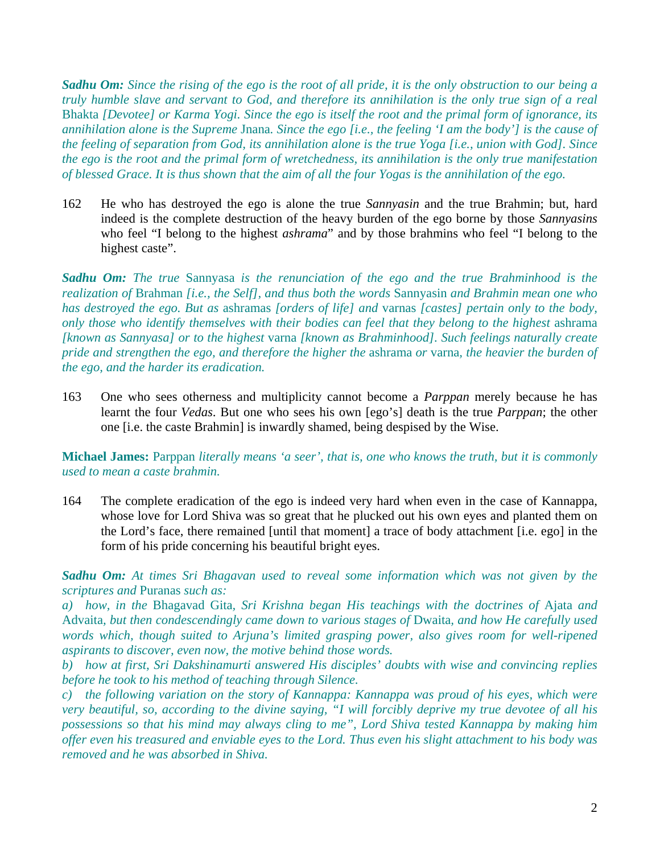*Sadhu Om: Since the rising of the ego is the root of all pride, it is the only obstruction to our being a truly humble slave and servant to God, and therefore its annihilation is the only true sign of a real*  Bhakta *[Devotee] or Karma Yogi. Since the ego is itself the root and the primal form of ignorance, its annihilation alone is the Supreme* Jnana*. Since the ego [i.e., the feeling 'I am the body'] is the cause of the feeling of separation from God, its annihilation alone is the true Yoga [i.e., union with God]. Since the ego is the root and the primal form of wretchedness, its annihilation is the only true manifestation of blessed Grace. It is thus shown that the aim of all the four Yogas is the annihilation of the ego.* 

162 He who has destroyed the ego is alone the true *Sannyasin* and the true Brahmin; but, hard indeed is the complete destruction of the heavy burden of the ego borne by those *Sannyasins* who feel "I belong to the highest *ashrama*" and by those brahmins who feel "I belong to the highest caste".

*Sadhu Om: The true* Sannyasa *is the renunciation of the ego and the true Brahminhood is the realization of* Brahman *[i.e., the Self], and thus both the words* Sannyasin *and Brahmin mean one who has destroyed the ego. But as* ashramas *[orders of life] and* varnas *[castes] pertain only to the body, only those who identify themselves with their bodies can feel that they belong to the highest* ashrama *[known as Sannyasa] or to the highest* varna *[known as Brahminhood]. Such feelings naturally create pride and strengthen the ego, and therefore the higher the* ashrama *or* varna*, the heavier the burden of the ego, and the harder its eradication.*

163 One who sees otherness and multiplicity cannot become a *Parppan* merely because he has learnt the four *Vedas*. But one who sees his own [ego's] death is the true *Parppan*; the other one [i.e. the caste Brahmin] is inwardly shamed, being despised by the Wise.

**Michael James:** Parppan *literally means 'a seer', that is, one who knows the truth, but it is commonly used to mean a caste brahmin.* 

164 The complete eradication of the ego is indeed very hard when even in the case of Kannappa, whose love for Lord Shiva was so great that he plucked out his own eyes and planted them on the Lord's face, there remained [until that moment] a trace of body attachment [i.e. ego] in the form of his pride concerning his beautiful bright eyes.

*Sadhu Om: At times Sri Bhagavan used to reveal some information which was not given by the scriptures and* Puranas *such as:* 

*a) how, in the* Bhagavad Gita*, Sri Krishna began His teachings with the doctrines of* Ajata *and*  Advaita*, but then condescendingly came down to various stages of* Dwaita*, and how He carefully used words which, though suited to Arjuna's limited grasping power, also gives room for well-ripened aspirants to discover, even now, the motive behind those words.* 

*b) how at first, Sri Dakshinamurti answered His disciples' doubts with wise and convincing replies before he took to his method of teaching through Silence.* 

*c) the following variation on the story of Kannappa: Kannappa was proud of his eyes, which were very beautiful, so, according to the divine saying, "I will forcibly deprive my true devotee of all his possessions so that his mind may always cling to me", Lord Shiva tested Kannappa by making him offer even his treasured and enviable eyes to the Lord. Thus even his slight attachment to his body was removed and he was absorbed in Shiva.*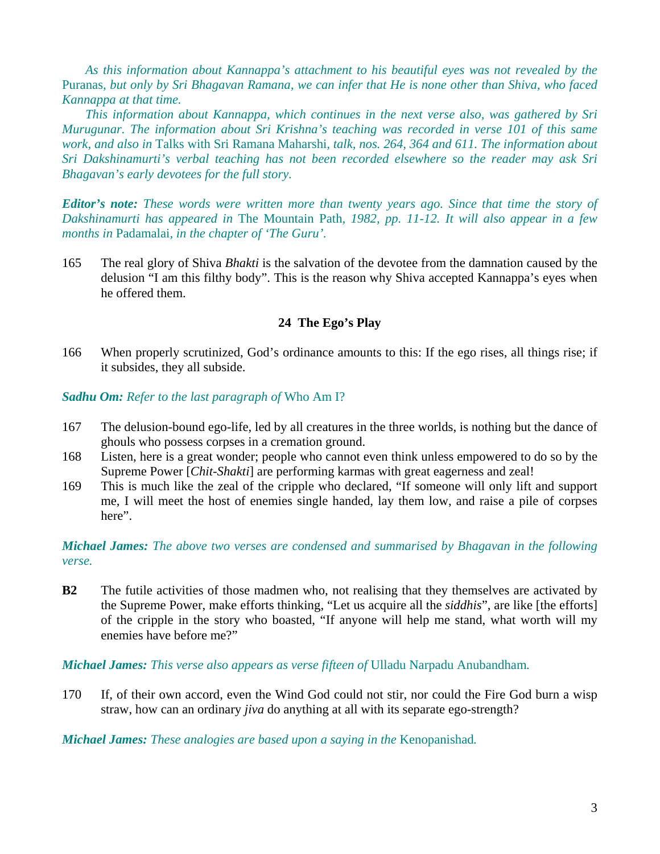*As this information about Kannappa's attachment to his beautiful eyes was not revealed by the*  Puranas*, but only by Sri Bhagavan Ramana, we can infer that He is none other than Shiva, who faced Kannappa at that time.* 

*This information about Kannappa, which continues in the next verse also, was gathered by Sri Murugunar. The information about Sri Krishna's teaching was recorded in verse 101 of this same work, and also in* Talks with Sri Ramana Maharshi*, talk, nos. 264, 364 and 611. The information about Sri Dakshinamurti's verbal teaching has not been recorded elsewhere so the reader may ask Sri Bhagavan's early devotees for the full story.* 

*Editor's note: These words were written more than twenty years ago. Since that time the story of Dakshinamurti has appeared in* The Mountain Path*, 1982, pp. 11-12. It will also appear in a few months in* Padamalai*, in the chapter of 'The Guru'.* 

165 The real glory of Shiva *Bhakti* is the salvation of the devotee from the damnation caused by the delusion "I am this filthy body". This is the reason why Shiva accepted Kannappa's eyes when he offered them.

## **24 The Ego's Play**

166 When properly scrutinized, God's ordinance amounts to this: If the ego rises, all things rise; if it subsides, they all subside.

#### *Sadhu Om: Refer to the last paragraph of* Who Am I?

- 167 The delusion-bound ego-life, led by all creatures in the three worlds, is nothing but the dance of ghouls who possess corpses in a cremation ground.
- 168 Listen, here is a great wonder; people who cannot even think unless empowered to do so by the Supreme Power [*Chit-Shakti*] are performing karmas with great eagerness and zeal!
- 169 This is much like the zeal of the cripple who declared, "If someone will only lift and support me, I will meet the host of enemies single handed, lay them low, and raise a pile of corpses here".

## *Michael James: The above two verses are condensed and summarised by Bhagavan in the following verse.*

**B2** The futile activities of those madmen who, not realising that they themselves are activated by the Supreme Power, make efforts thinking, "Let us acquire all the *siddhis*", are like [the efforts] of the cripple in the story who boasted, "If anyone will help me stand, what worth will my enemies have before me?"

## *Michael James: This verse also appears as verse fifteen of* Ulladu Narpadu Anubandham*.*

170 If, of their own accord, even the Wind God could not stir, nor could the Fire God burn a wisp straw, how can an ordinary *jiva* do anything at all with its separate ego-strength?

*Michael James: These analogies are based upon a saying in the* Kenopanishad*.*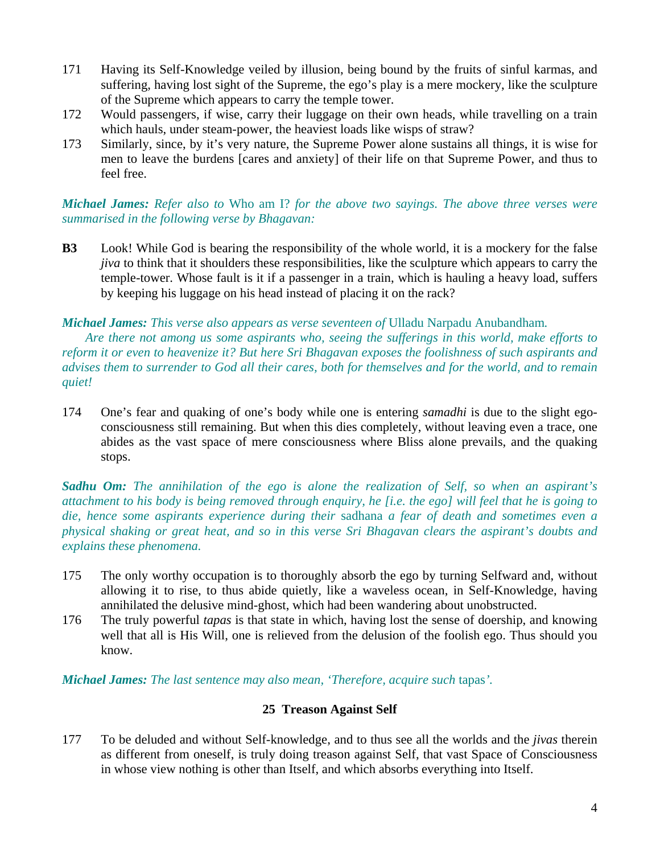- 171 Having its Self-Knowledge veiled by illusion, being bound by the fruits of sinful karmas, and suffering, having lost sight of the Supreme, the ego's play is a mere mockery, like the sculpture of the Supreme which appears to carry the temple tower.
- 172 Would passengers, if wise, carry their luggage on their own heads, while travelling on a train which hauls, under steam-power, the heaviest loads like wisps of straw?
- 173 Similarly, since, by it's very nature, the Supreme Power alone sustains all things, it is wise for men to leave the burdens [cares and anxiety] of their life on that Supreme Power, and thus to feel free.

*Michael James: Refer also to* Who am I? *for the above two sayings. The above three verses were summarised in the following verse by Bhagavan:* 

**B3** Look! While God is bearing the responsibility of the whole world, it is a mockery for the false *jiva* to think that it shoulders these responsibilities, like the sculpture which appears to carry the temple-tower. Whose fault is it if a passenger in a train, which is hauling a heavy load, suffers by keeping his luggage on his head instead of placing it on the rack?

## *Michael James: This verse also appears as verse seventeen of* Ulladu Narpadu Anubandham*.*

*Are there not among us some aspirants who, seeing the sufferings in this world, make efforts to reform it or even to heavenize it? But here Sri Bhagavan exposes the foolishness of such aspirants and advises them to surrender to God all their cares, both for themselves and for the world, and to remain quiet!* 

174 One's fear and quaking of one's body while one is entering *samadhi* is due to the slight egoconsciousness still remaining. But when this dies completely, without leaving even a trace, one abides as the vast space of mere consciousness where Bliss alone prevails, and the quaking stops.

*Sadhu Om: The annihilation of the ego is alone the realization of Self, so when an aspirant's attachment to his body is being removed through enquiry, he [i.e. the ego] will feel that he is going to die, hence some aspirants experience during their* sadhana *a fear of death and sometimes even a physical shaking or great heat, and so in this verse Sri Bhagavan clears the aspirant's doubts and explains these phenomena.* 

- 175 The only worthy occupation is to thoroughly absorb the ego by turning Selfward and, without allowing it to rise, to thus abide quietly, like a waveless ocean, in Self-Knowledge, having annihilated the delusive mind-ghost, which had been wandering about unobstructed.
- 176 The truly powerful *tapas* is that state in which, having lost the sense of doership, and knowing well that all is His Will, one is relieved from the delusion of the foolish ego. Thus should you know.

*Michael James: The last sentence may also mean, 'Therefore, acquire such* tapas*'.* 

## **25 Treason Against Self**

177 To be deluded and without Self-knowledge, and to thus see all the worlds and the *jivas* therein as different from oneself, is truly doing treason against Self, that vast Space of Consciousness in whose view nothing is other than Itself, and which absorbs everything into Itself.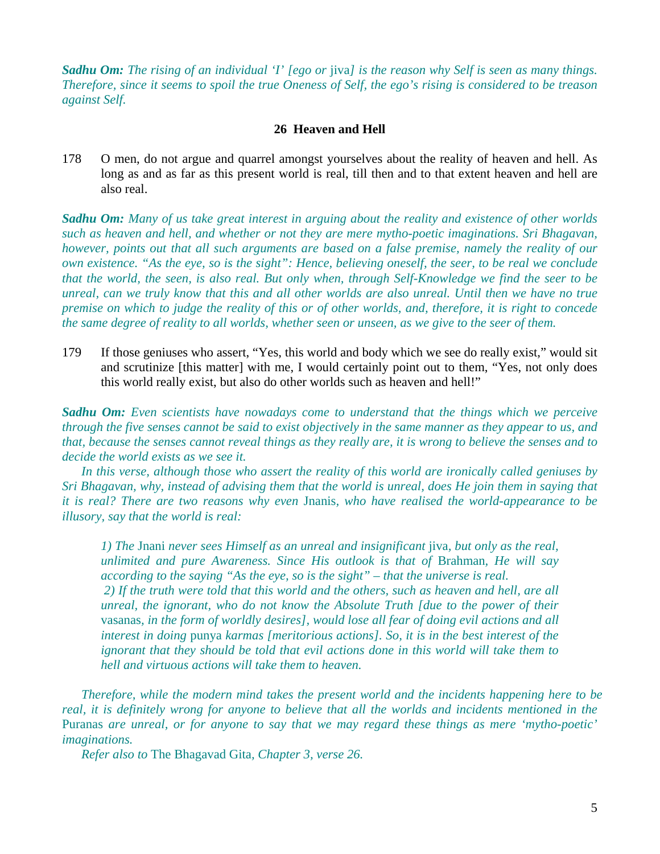*Sadhu Om: The rising of an individual 'I' [ego or* jiva*] is the reason why Self is seen as many things. Therefore, since it seems to spoil the true Oneness of Self, the ego's rising is considered to be treason against Self.* 

#### **26 Heaven and Hell**

178 O men, do not argue and quarrel amongst yourselves about the reality of heaven and hell. As long as and as far as this present world is real, till then and to that extent heaven and hell are also real.

*Sadhu Om: Many of us take great interest in arguing about the reality and existence of other worlds such as heaven and hell, and whether or not they are mere mytho-poetic imaginations. Sri Bhagavan, however, points out that all such arguments are based on a false premise, namely the reality of our own existence. "As the eye, so is the sight": Hence, believing oneself, the seer, to be real we conclude that the world, the seen, is also real. But only when, through Self-Knowledge we find the seer to be unreal, can we truly know that this and all other worlds are also unreal. Until then we have no true premise on which to judge the reality of this or of other worlds, and, therefore, it is right to concede the same degree of reality to all worlds, whether seen or unseen, as we give to the seer of them.* 

179 If those geniuses who assert, "Yes, this world and body which we see do really exist," would sit and scrutinize [this matter] with me, I would certainly point out to them, "Yes, not only does this world really exist, but also do other worlds such as heaven and hell!"

*Sadhu Om: Even scientists have nowadays come to understand that the things which we perceive through the five senses cannot be said to exist objectively in the same manner as they appear to us, and that, because the senses cannot reveal things as they really are, it is wrong to believe the senses and to decide the world exists as we see it.* 

*In this verse, although those who assert the reality of this world are ironically called geniuses by Sri Bhagavan, why, instead of advising them that the world is unreal, does He join them in saying that it is real? There are two reasons why even* Jnanis*, who have realised the world-appearance to be illusory, say that the world is real:* 

*1) The* Jnani *never sees Himself as an unreal and insignificant* jiva*, but only as the real, unlimited and pure Awareness. Since His outlook is that of* Brahman*, He will say according to the saying "As the eye, so is the sight" – that the universe is real. 2) If the truth were told that this world and the others, such as heaven and hell, are all unreal, the ignorant, who do not know the Absolute Truth [due to the power of their*  vasanas*, in the form of worldly desires], would lose all fear of doing evil actions and all interest in doing* punya *karmas [meritorious actions]. So, it is in the best interest of the ignorant that they should be told that evil actions done in this world will take them to hell and virtuous actions will take them to heaven.*

 *Therefore, while the modern mind takes the present world and the incidents happening here to be real, it is definitely wrong for anyone to believe that all the worlds and incidents mentioned in the*  Puranas *are unreal, or for anyone to say that we may regard these things as mere 'mytho-poetic' imaginations.* 

 *Refer also to* The Bhagavad Gita*, Chapter 3, verse 26.*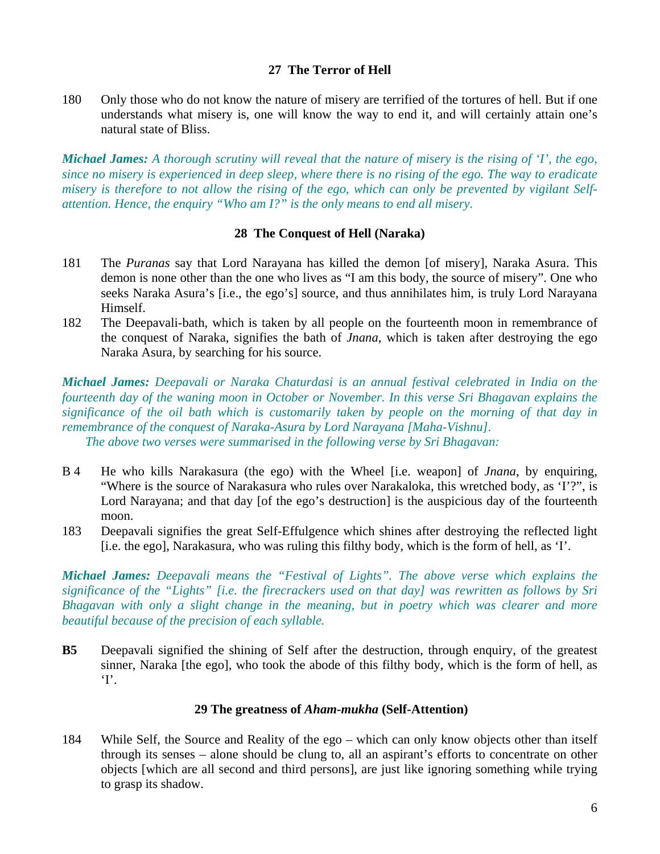## **27 The Terror of Hell**

180 Only those who do not know the nature of misery are terrified of the tortures of hell. But if one understands what misery is, one will know the way to end it, and will certainly attain one's natural state of Bliss.

*Michael James: A thorough scrutiny will reveal that the nature of misery is the rising of 'I', the ego, since no misery is experienced in deep sleep, where there is no rising of the ego. The way to eradicate misery is therefore to not allow the rising of the ego, which can only be prevented by vigilant Selfattention. Hence, the enquiry "Who am I?" is the only means to end all misery.* 

## **28 The Conquest of Hell (Naraka)**

- 181 The *Puranas* say that Lord Narayana has killed the demon [of misery], Naraka Asura. This demon is none other than the one who lives as "I am this body, the source of misery". One who seeks Naraka Asura's [i.e., the ego's] source, and thus annihilates him, is truly Lord Narayana Himself.
- 182 The Deepavali-bath, which is taken by all people on the fourteenth moon in remembrance of the conquest of Naraka, signifies the bath of *Jnana*, which is taken after destroying the ego Naraka Asura, by searching for his source.

*Michael James: Deepavali or Naraka Chaturdasi is an annual festival celebrated in India on the fourteenth day of the waning moon in October or November. In this verse Sri Bhagavan explains the significance of the oil bath which is customarily taken by people on the morning of that day in remembrance of the conquest of Naraka-Asura by Lord Narayana [Maha-Vishnu]. The above two verses were summarised in the following verse by Sri Bhagavan:* 

- B 4 He who kills Narakasura (the ego) with the Wheel [i.e. weapon] of *Jnana*, by enquiring, "Where is the source of Narakasura who rules over Narakaloka, this wretched body, as 'I'?", is Lord Narayana; and that day [of the ego's destruction] is the auspicious day of the fourteenth moon.
- 183 Deepavali signifies the great Self-Effulgence which shines after destroying the reflected light [i.e. the ego], Narakasura, who was ruling this filthy body, which is the form of hell, as 'I'.

*Michael James: Deepavali means the "Festival of Lights". The above verse which explains the significance of the "Lights" [i.e. the firecrackers used on that day] was rewritten as follows by Sri Bhagavan with only a slight change in the meaning, but in poetry which was clearer and more beautiful because of the precision of each syllable.* 

**B5** Deepavali signified the shining of Self after the destruction, through enquiry, of the greatest sinner, Naraka [the ego], who took the abode of this filthy body, which is the form of hell, as 'I'.

## **29 The greatness of** *Aham-mukha* **(Self-Attention)**

184 While Self, the Source and Reality of the ego – which can only know objects other than itself through its senses – alone should be clung to, all an aspirant's efforts to concentrate on other objects [which are all second and third persons], are just like ignoring something while trying to grasp its shadow.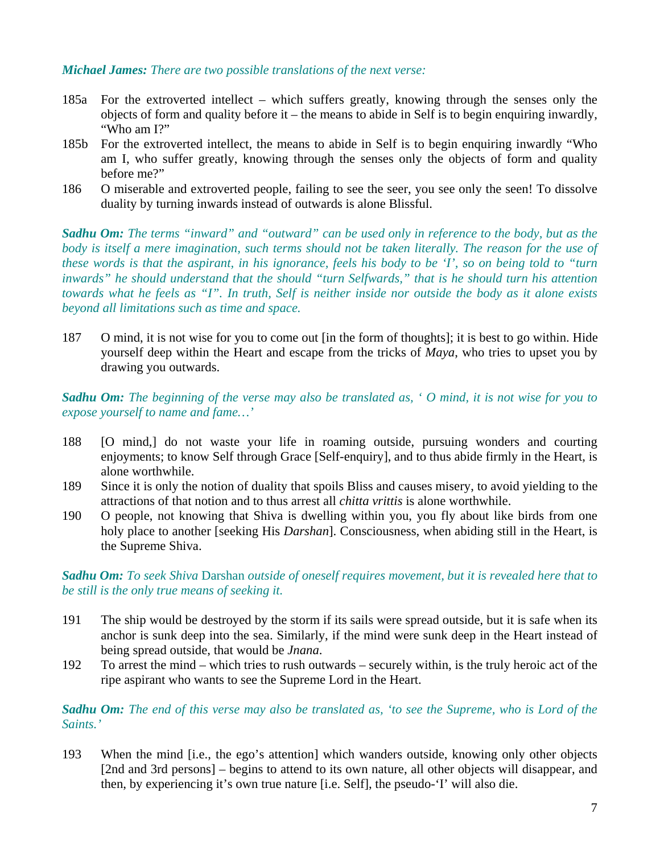## *Michael James: There are two possible translations of the next verse:*

- 185a For the extroverted intellect which suffers greatly, knowing through the senses only the objects of form and quality before it – the means to abide in Self is to begin enquiring inwardly, "Who am I?"
- 185b For the extroverted intellect, the means to abide in Self is to begin enquiring inwardly "Who am I, who suffer greatly, knowing through the senses only the objects of form and quality before me?"
- 186 O miserable and extroverted people, failing to see the seer, you see only the seen! To dissolve duality by turning inwards instead of outwards is alone Blissful.

*Sadhu Om: The terms "inward" and "outward" can be used only in reference to the body, but as the*  body is itself a mere imagination, such terms should not be taken literally. The reason for the use of *these words is that the aspirant, in his ignorance, feels his body to be 'I', so on being told to "turn inwards" he should understand that the should "turn Selfwards," that is he should turn his attention towards what he feels as "I". In truth, Self is neither inside nor outside the body as it alone exists beyond all limitations such as time and space.* 

187 O mind, it is not wise for you to come out [in the form of thoughts]; it is best to go within. Hide yourself deep within the Heart and escape from the tricks of *Maya*, who tries to upset you by drawing you outwards.

*Sadhu Om: The beginning of the verse may also be translated as, ' O mind, it is not wise for you to expose yourself to name and fame…'* 

- 188 [O mind,] do not waste your life in roaming outside, pursuing wonders and courting enjoyments; to know Self through Grace [Self-enquiry], and to thus abide firmly in the Heart, is alone worthwhile.
- 189 Since it is only the notion of duality that spoils Bliss and causes misery, to avoid yielding to the attractions of that notion and to thus arrest all *chitta vrittis* is alone worthwhile.
- 190 O people, not knowing that Shiva is dwelling within you, you fly about like birds from one holy place to another [seeking His *Darshan*]. Consciousness, when abiding still in the Heart, is the Supreme Shiva.

*Sadhu Om: To seek Shiva* Darshan *outside of oneself requires movement, but it is revealed here that to be still is the only true means of seeking it.* 

- 191 The ship would be destroyed by the storm if its sails were spread outside, but it is safe when its anchor is sunk deep into the sea. Similarly, if the mind were sunk deep in the Heart instead of being spread outside, that would be *Jnana*.
- 192 To arrest the mind which tries to rush outwards securely within, is the truly heroic act of the ripe aspirant who wants to see the Supreme Lord in the Heart.

*Sadhu Om: The end of this verse may also be translated as, 'to see the Supreme, who is Lord of the Saints.'* 

193 When the mind [i.e., the ego's attention] which wanders outside, knowing only other objects [2nd and 3rd persons] – begins to attend to its own nature, all other objects will disappear, and then, by experiencing it's own true nature [i.e. Self], the pseudo-'I' will also die.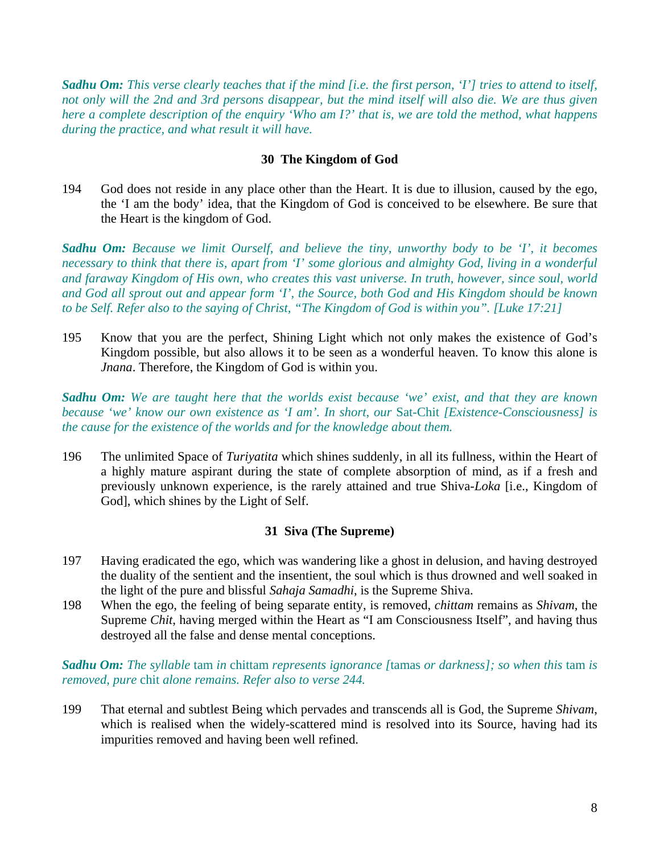*Sadhu Om: This verse clearly teaches that if the mind [i.e. the first person, 'I'] tries to attend to itself, not only will the 2nd and 3rd persons disappear, but the mind itself will also die. We are thus given here a complete description of the enquiry 'Who am I?' that is, we are told the method, what happens during the practice, and what result it will have.* 

## **30 The Kingdom of God**

194 God does not reside in any place other than the Heart. It is due to illusion, caused by the ego, the 'I am the body' idea, that the Kingdom of God is conceived to be elsewhere. Be sure that the Heart is the kingdom of God.

*Sadhu Om: Because we limit Ourself, and believe the tiny, unworthy body to be 'I', it becomes necessary to think that there is, apart from 'I' some glorious and almighty God, living in a wonderful and faraway Kingdom of His own, who creates this vast universe. In truth, however, since soul, world and God all sprout out and appear form 'I', the Source, both God and His Kingdom should be known to be Self. Refer also to the saying of Christ, "The Kingdom of God is within you". [Luke 17:21]*

195 Know that you are the perfect, Shining Light which not only makes the existence of God's Kingdom possible, but also allows it to be seen as a wonderful heaven. To know this alone is *Jnana*. Therefore, the Kingdom of God is within you.

*Sadhu Om: We are taught here that the worlds exist because 'we' exist, and that they are known because 'we' know our own existence as 'I am'. In short, our* Sat-Chit *[Existence-Consciousness] is the cause for the existence of the worlds and for the knowledge about them.* 

196 The unlimited Space of *Turiyatita* which shines suddenly, in all its fullness, within the Heart of a highly mature aspirant during the state of complete absorption of mind, as if a fresh and previously unknown experience, is the rarely attained and true Shiva-*Loka* [i.e., Kingdom of God], which shines by the Light of Self.

# **31 Siva (The Supreme)**

- 197 Having eradicated the ego, which was wandering like a ghost in delusion, and having destroyed the duality of the sentient and the insentient, the soul which is thus drowned and well soaked in the light of the pure and blissful *Sahaja Samadhi*, is the Supreme Shiva.
- 198 When the ego, the feeling of being separate entity, is removed, *chittam* remains as *Shivam*, the Supreme *Chit*, having merged within the Heart as "I am Consciousness Itself", and having thus destroyed all the false and dense mental conceptions.

*Sadhu Om: The syllable* tam *in* chittam *represents ignorance [*tamas *or darkness]; so when this* tam *is removed, pure* chit *alone remains. Refer also to verse 244.* 

199 That eternal and subtlest Being which pervades and transcends all is God, the Supreme *Shivam*, which is realised when the widely-scattered mind is resolved into its Source, having had its impurities removed and having been well refined.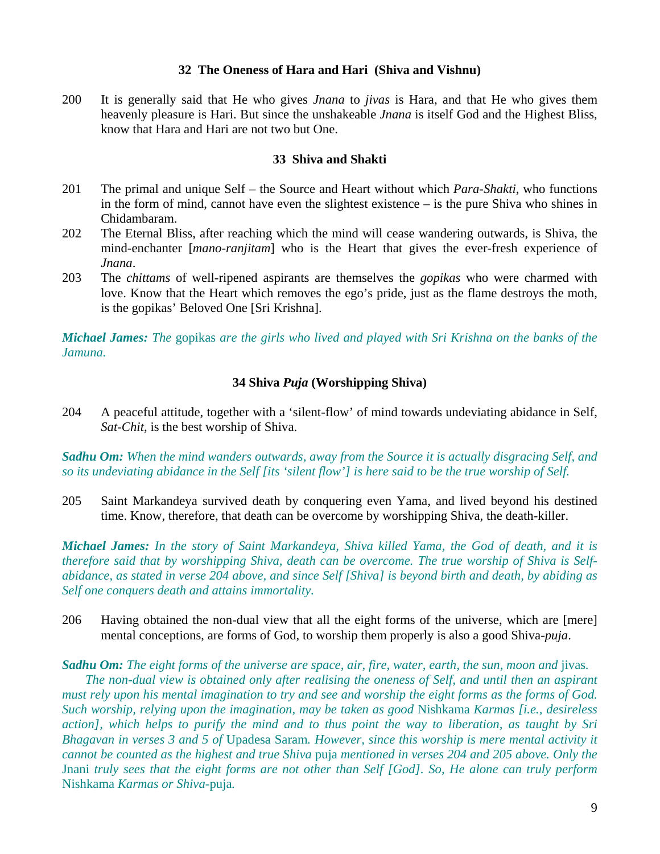## **32 The Oneness of Hara and Hari (Shiva and Vishnu)**

200 It is generally said that He who gives *Jnana* to *jivas* is Hara, and that He who gives them heavenly pleasure is Hari. But since the unshakeable *Jnana* is itself God and the Highest Bliss, know that Hara and Hari are not two but One.

## **33 Shiva and Shakti**

- 201 The primal and unique Self the Source and Heart without which *Para-Shakti*, who functions in the form of mind, cannot have even the slightest existence – is the pure Shiva who shines in Chidambaram.
- 202 The Eternal Bliss, after reaching which the mind will cease wandering outwards, is Shiva, the mind-enchanter [*mano-ranjitam*] who is the Heart that gives the ever-fresh experience of *Jnana*.
- 203 The *chittams* of well-ripened aspirants are themselves the *gopikas* who were charmed with love. Know that the Heart which removes the ego's pride, just as the flame destroys the moth, is the gopikas' Beloved One [Sri Krishna].

*Michael James: The* gopikas *are the girls who lived and played with Sri Krishna on the banks of the Jamuna.* 

# **34 Shiva** *Puja* **(Worshipping Shiva)**

204 A peaceful attitude, together with a 'silent-flow' of mind towards undeviating abidance in Self, *Sat-Chit*, is the best worship of Shiva.

*Sadhu Om: When the mind wanders outwards, away from the Source it is actually disgracing Self, and so its undeviating abidance in the Self [its 'silent flow'] is here said to be the true worship of Self.* 

205 Saint Markandeya survived death by conquering even Yama, and lived beyond his destined time. Know, therefore, that death can be overcome by worshipping Shiva, the death-killer.

*Michael James: In the story of Saint Markandeya, Shiva killed Yama, the God of death, and it is therefore said that by worshipping Shiva, death can be overcome. The true worship of Shiva is Selfabidance, as stated in verse 204 above, and since Self [Shiva] is beyond birth and death, by abiding as Self one conquers death and attains immortality.* 

206 Having obtained the non-dual view that all the eight forms of the universe, which are [mere] mental conceptions, are forms of God, to worship them properly is also a good Shiva-*puja*.

**Sadhu Om:** The eight forms of the universe are space, air, fire, water, earth, the sun, moon and *jivas*. *The non-dual view is obtained only after realising the oneness of Self, and until then an aspirant must rely upon his mental imagination to try and see and worship the eight forms as the forms of God. Such worship, relying upon the imagination, may be taken as good* Nishkama *Karmas [i.e., desireless action], which helps to purify the mind and to thus point the way to liberation, as taught by Sri Bhagavan in verses 3 and 5 of* Upadesa Saram*. However, since this worship is mere mental activity it cannot be counted as the highest and true Shiva* puja *mentioned in verses 204 and 205 above. Only the*  Jnani *truly sees that the eight forms are not other than Self [God]. So, He alone can truly perform*  Nishkama *Karmas or Shiva-*puja*.*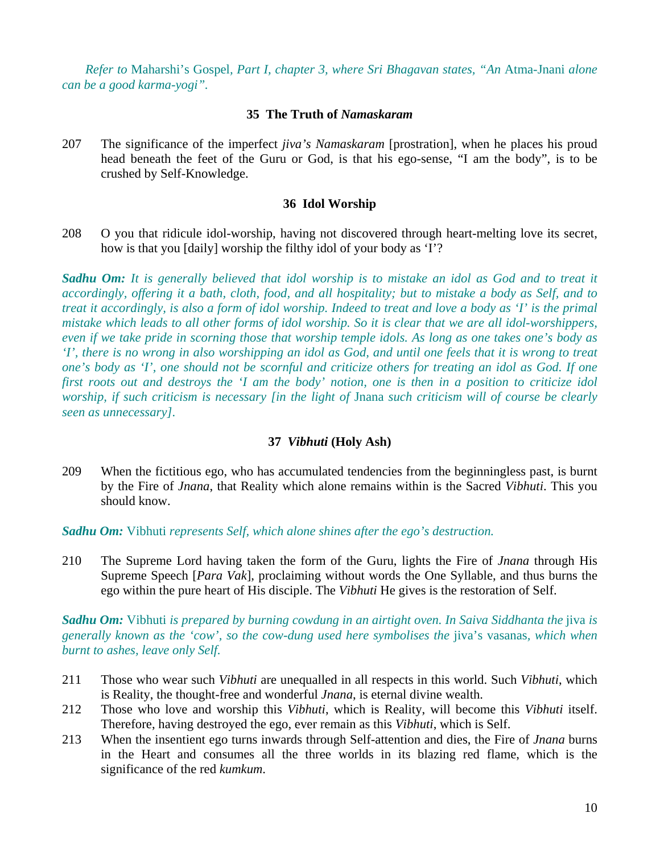*Refer to* Maharshi's Gospel*, Part I, chapter 3, where Sri Bhagavan states, "An* Atma-Jnani *alone can be a good karma-yogi".* 

### **35 The Truth of** *Namaskaram*

207 The significance of the imperfect *jiva's Namaskaram* [prostration], when he places his proud head beneath the feet of the Guru or God, is that his ego-sense, "I am the body", is to be crushed by Self-Knowledge.

#### **36 Idol Worship**

208 O you that ridicule idol-worship, having not discovered through heart-melting love its secret, how is that you [daily] worship the filthy idol of your body as 'I'?

*Sadhu Om: It is generally believed that idol worship is to mistake an idol as God and to treat it accordingly, offering it a bath, cloth, food, and all hospitality; but to mistake a body as Self, and to treat it accordingly, is also a form of idol worship. Indeed to treat and love a body as 'I' is the primal mistake which leads to all other forms of idol worship. So it is clear that we are all idol-worshippers, even if we take pride in scorning those that worship temple idols. As long as one takes one's body as 'I', there is no wrong in also worshipping an idol as God, and until one feels that it is wrong to treat one's body as 'I', one should not be scornful and criticize others for treating an idol as God. If one first roots out and destroys the 'I am the body' notion, one is then in a position to criticize idol worship, if such criticism is necessary [in the light of* Jnana *such criticism will of course be clearly seen as unnecessary].*

## **37** *Vibhuti* **(Holy Ash)**

209 When the fictitious ego, who has accumulated tendencies from the beginningless past, is burnt by the Fire of *Jnana*, that Reality which alone remains within is the Sacred *Vibhuti*. This you should know.

*Sadhu Om:* Vibhuti *represents Self, which alone shines after the ego's destruction.* 

210 The Supreme Lord having taken the form of the Guru, lights the Fire of *Jnana* through His Supreme Speech [*Para Vak*], proclaiming without words the One Syllable, and thus burns the ego within the pure heart of His disciple. The *Vibhuti* He gives is the restoration of Self.

## *Sadhu Om:* Vibhuti *is prepared by burning cowdung in an airtight oven. In Saiva Siddhanta the* jiva *is generally known as the 'cow', so the cow-dung used here symbolises the* jiva's vasanas*, which when burnt to ashes, leave only Self.*

- 211 Those who wear such *Vibhuti* are unequalled in all respects in this world. Such *Vibhuti*, which is Reality, the thought-free and wonderful *Jnana*, is eternal divine wealth.
- 212 Those who love and worship this *Vibhuti*, which is Reality, will become this *Vibhuti* itself. Therefore, having destroyed the ego, ever remain as this *Vibhuti*, which is Self.
- 213 When the insentient ego turns inwards through Self-attention and dies, the Fire of *Jnana* burns in the Heart and consumes all the three worlds in its blazing red flame, which is the significance of the red *kumkum*.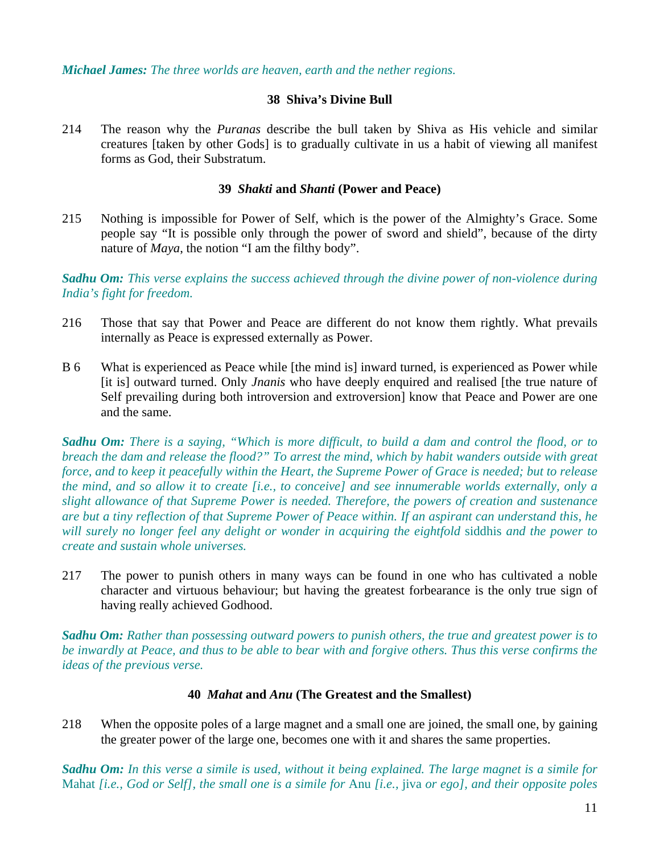*Michael James: The three worlds are heaven, earth and the nether regions.* 

## **38 Shiva's Divine Bull**

214 The reason why the *Puranas* describe the bull taken by Shiva as His vehicle and similar creatures [taken by other Gods] is to gradually cultivate in us a habit of viewing all manifest forms as God, their Substratum.

## **39** *Shakti* **and** *Shanti* **(Power and Peace)**

215 Nothing is impossible for Power of Self, which is the power of the Almighty's Grace. Some people say "It is possible only through the power of sword and shield", because of the dirty nature of *Maya*, the notion "I am the filthy body".

*Sadhu Om: This verse explains the success achieved through the divine power of non-violence during India's fight for freedom.* 

- 216 Those that say that Power and Peace are different do not know them rightly. What prevails internally as Peace is expressed externally as Power.
- B 6 What is experienced as Peace while [the mind is] inward turned, is experienced as Power while [it is] outward turned. Only *Jnanis* who have deeply enquired and realised [the true nature of Self prevailing during both introversion and extroversion] know that Peace and Power are one and the same.

*Sadhu Om: There is a saying, "Which is more difficult, to build a dam and control the flood, or to breach the dam and release the flood?" To arrest the mind, which by habit wanders outside with great force, and to keep it peacefully within the Heart, the Supreme Power of Grace is needed; but to release the mind, and so allow it to create [i.e., to conceive] and see innumerable worlds externally, only a slight allowance of that Supreme Power is needed. Therefore, the powers of creation and sustenance are but a tiny reflection of that Supreme Power of Peace within. If an aspirant can understand this, he will surely no longer feel any delight or wonder in acquiring the eightfold* siddhis *and the power to create and sustain whole universes.* 

217 The power to punish others in many ways can be found in one who has cultivated a noble character and virtuous behaviour; but having the greatest forbearance is the only true sign of having really achieved Godhood.

*Sadhu Om: Rather than possessing outward powers to punish others, the true and greatest power is to be inwardly at Peace, and thus to be able to bear with and forgive others. Thus this verse confirms the ideas of the previous verse.* 

# **40** *Mahat* **and** *Anu* **(The Greatest and the Smallest)**

218 When the opposite poles of a large magnet and a small one are joined, the small one, by gaining the greater power of the large one, becomes one with it and shares the same properties.

*Sadhu Om: In this verse a simile is used, without it being explained. The large magnet is a simile for*  Mahat *[i.e., God or Self], the small one is a simile for* Anu *[i.e.,* jiva *or ego], and their opposite poles*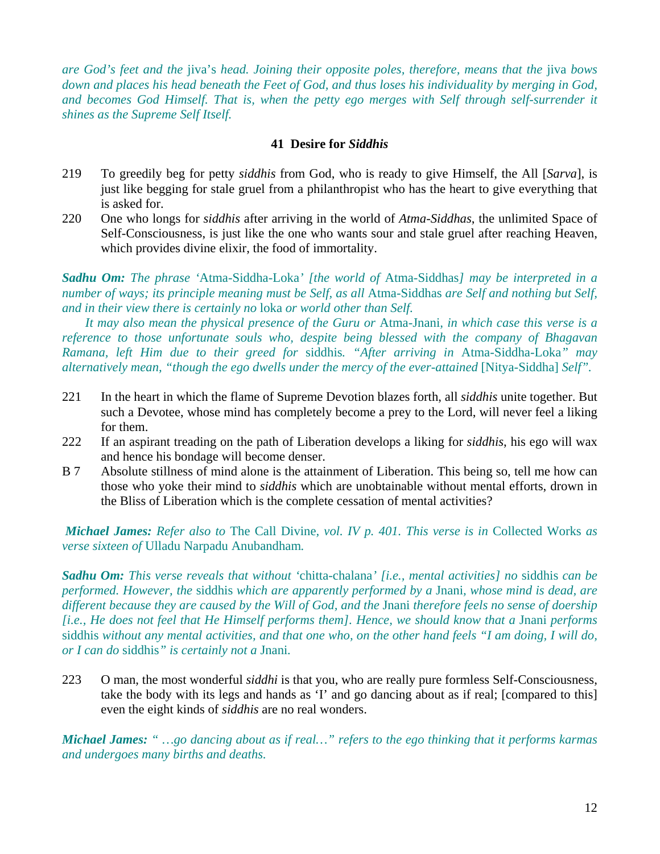*are God's feet and the* jiva's *head. Joining their opposite poles, therefore, means that the* jiva *bows down and places his head beneath the Feet of God, and thus loses his individuality by merging in God, and becomes God Himself. That is, when the petty ego merges with Self through self-surrender it shines as the Supreme Self Itself.* 

## **41 Desire for** *Siddhis*

- 219 To greedily beg for petty *siddhis* from God, who is ready to give Himself, the All [*Sarva*], is just like begging for stale gruel from a philanthropist who has the heart to give everything that is asked for.
- 220 One who longs for *siddhis* after arriving in the world of *Atma-Siddhas*, the unlimited Space of Self-Consciousness, is just like the one who wants sour and stale gruel after reaching Heaven, which provides divine elixir, the food of immortality.

*Sadhu Om: The phrase '*Atma-Siddha-Loka*' [the world of* Atma-Siddhas*] may be interpreted in a number of ways; its principle meaning must be Self, as all* Atma-Siddhas *are Self and nothing but Self, and in their view there is certainly no* loka *or world other than Self.* 

*It may also mean the physical presence of the Guru or* Atma-Jnani*, in which case this verse is a reference to those unfortunate souls who, despite being blessed with the company of Bhagavan Ramana, left Him due to their greed for* siddhis*. "After arriving in* Atma-Siddha-Loka*" may alternatively mean, "though the ego dwells under the mercy of the ever-attained* [Nitya-Siddha] Self".

- 221 In the heart in which the flame of Supreme Devotion blazes forth, all *siddhis* unite together. But such a Devotee, whose mind has completely become a prey to the Lord, will never feel a liking for them.
- 222 If an aspirant treading on the path of Liberation develops a liking for *siddhis*, his ego will wax and hence his bondage will become denser.
- B 7 Absolute stillness of mind alone is the attainment of Liberation. This being so, tell me how can those who yoke their mind to *siddhis* which are unobtainable without mental efforts, drown in the Bliss of Liberation which is the complete cessation of mental activities?

*Michael James: Refer also to* The Call Divine*, vol. IV p. 401. This verse is in* Collected Works *as verse sixteen of* Ulladu Narpadu Anubandham*.* 

*Sadhu Om: This verse reveals that without '*chitta-chalana*' [i.e., mental activities] no* siddhis *can be performed. However, the* siddhis *which are apparently performed by a* Jnani*, whose mind is dead, are different because they are caused by the Will of God, and the* Jnani *therefore feels no sense of doership fi.e., He does not feel that He Himself performs them]. Hence, we should know that a Jnani performs* siddhis *without any mental activities, and that one who, on the other hand feels "I am doing, I will do, or I can do* siddhis*" is certainly not a* Jnani*.* 

223 O man, the most wonderful *siddhi* is that you, who are really pure formless Self-Consciousness, take the body with its legs and hands as 'I' and go dancing about as if real; [compared to this] even the eight kinds of *siddhis* are no real wonders.

*Michael James: " …go dancing about as if real…" refers to the ego thinking that it performs karmas and undergoes many births and deaths.*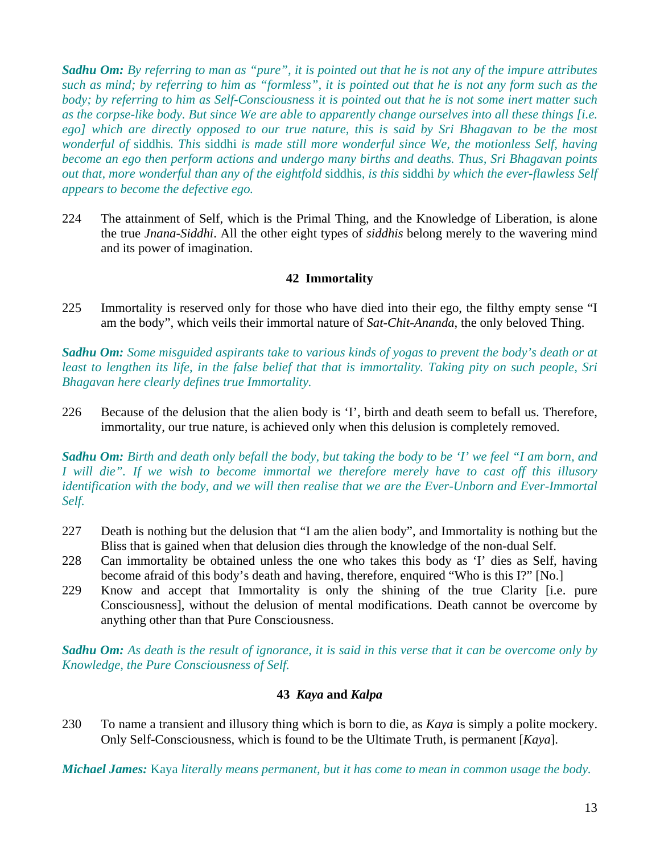*Sadhu Om: By referring to man as "pure", it is pointed out that he is not any of the impure attributes such as mind; by referring to him as "formless", it is pointed out that he is not any form such as the body; by referring to him as Self-Consciousness it is pointed out that he is not some inert matter such as the corpse-like body. But since We are able to apparently change ourselves into all these things [i.e. ego] which are directly opposed to our true nature, this is said by Sri Bhagavan to be the most wonderful of* siddhis*. This* siddhi *is made still more wonderful since We, the motionless Self, having become an ego then perform actions and undergo many births and deaths. Thus, Sri Bhagavan points out that, more wonderful than any of the eightfold* siddhis*, is this* siddhi *by which the ever-flawless Self appears to become the defective ego.* 

224 The attainment of Self, which is the Primal Thing, and the Knowledge of Liberation, is alone the true *Jnana-Siddhi*. All the other eight types of *siddhis* belong merely to the wavering mind and its power of imagination.

# **42 Immortality**

225 Immortality is reserved only for those who have died into their ego, the filthy empty sense "I am the body", which veils their immortal nature of *Sat-Chit-Ananda*, the only beloved Thing.

*Sadhu Om: Some misguided aspirants take to various kinds of yogas to prevent the body's death or at least to lengthen its life, in the false belief that that is immortality. Taking pity on such people, Sri Bhagavan here clearly defines true Immortality.* 

226 Because of the delusion that the alien body is 'I', birth and death seem to befall us. Therefore, immortality, our true nature, is achieved only when this delusion is completely removed.

*Sadhu Om: Birth and death only befall the body, but taking the body to be 'I' we feel "I am born, and I will die". If we wish to become immortal we therefore merely have to cast off this illusory identification with the body, and we will then realise that we are the Ever-Unborn and Ever-Immortal Self.* 

- 227 Death is nothing but the delusion that "I am the alien body", and Immortality is nothing but the Bliss that is gained when that delusion dies through the knowledge of the non-dual Self.
- 228 Can immortality be obtained unless the one who takes this body as 'I' dies as Self, having become afraid of this body's death and having, therefore, enquired "Who is this I?" [No.]
- 229 Know and accept that Immortality is only the shining of the true Clarity [i.e. pure Consciousness], without the delusion of mental modifications. Death cannot be overcome by anything other than that Pure Consciousness.

*Sadhu Om: As death is the result of ignorance, it is said in this verse that it can be overcome only by Knowledge, the Pure Consciousness of Self.* 

# **43** *Kaya* **and** *Kalpa*

230 To name a transient and illusory thing which is born to die, as *Kaya* is simply a polite mockery. Only Self-Consciousness, which is found to be the Ultimate Truth, is permanent [*Kaya*].

*Michael James:* Kaya *literally means permanent, but it has come to mean in common usage the body.*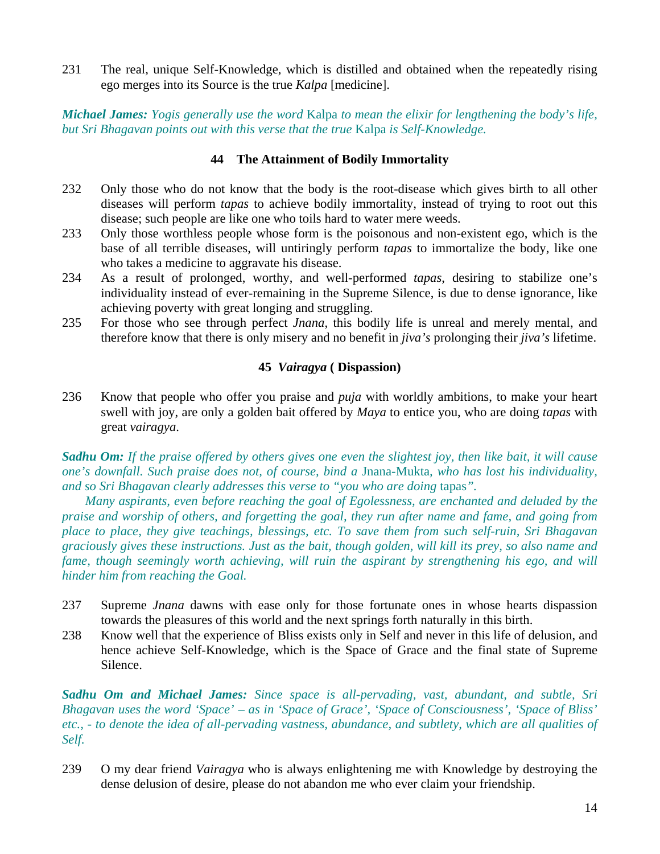231 The real, unique Self-Knowledge, which is distilled and obtained when the repeatedly rising ego merges into its Source is the true *Kalpa* [medicine].

*Michael James: Yogis generally use the word* Kalpa *to mean the elixir for lengthening the body's life, but Sri Bhagavan points out with this verse that the true* Kalpa *is Self-Knowledge.* 

## **44 The Attainment of Bodily Immortality**

- 232 Only those who do not know that the body is the root-disease which gives birth to all other diseases will perform *tapas* to achieve bodily immortality, instead of trying to root out this disease; such people are like one who toils hard to water mere weeds.
- 233 Only those worthless people whose form is the poisonous and non-existent ego, which is the base of all terrible diseases, will untiringly perform *tapas* to immortalize the body, like one who takes a medicine to aggravate his disease.
- 234 As a result of prolonged, worthy, and well-performed *tapas*, desiring to stabilize one's individuality instead of ever-remaining in the Supreme Silence, is due to dense ignorance, like achieving poverty with great longing and struggling.
- 235 For those who see through perfect *Jnana*, this bodily life is unreal and merely mental, and therefore know that there is only misery and no benefit in *jiva's* prolonging their *jiva's* lifetime.

# **45** *Vairagya* **( Dispassion)**

236 Know that people who offer you praise and *puja* with worldly ambitions, to make your heart swell with joy, are only a golden bait offered by *Maya* to entice you, who are doing *tapas* with great *vairagya*.

*Sadhu Om: If the praise offered by others gives one even the slightest joy, then like bait, it will cause one's downfall. Such praise does not, of course, bind a* Jnana-Mukta*, who has lost his individuality, and so Sri Bhagavan clearly addresses this verse to "you who are doing tapas".* 

*Many aspirants, even before reaching the goal of Egolessness, are enchanted and deluded by the praise and worship of others, and forgetting the goal, they run after name and fame, and going from place to place, they give teachings, blessings, etc. To save them from such self-ruin, Sri Bhagavan graciously gives these instructions. Just as the bait, though golden, will kill its prey, so also name and fame, though seemingly worth achieving, will ruin the aspirant by strengthening his ego, and will hinder him from reaching the Goal.* 

- 237 Supreme *Jnana* dawns with ease only for those fortunate ones in whose hearts dispassion towards the pleasures of this world and the next springs forth naturally in this birth.
- 238 Know well that the experience of Bliss exists only in Self and never in this life of delusion, and hence achieve Self-Knowledge, which is the Space of Grace and the final state of Supreme Silence.

*Sadhu Om and Michael James: Since space is all-pervading, vast, abundant, and subtle, Sri Bhagavan uses the word 'Space' – as in 'Space of Grace', 'Space of Consciousness', 'Space of Bliss' etc., - to denote the idea of all-pervading vastness, abundance, and subtlety, which are all qualities of Self.* 

239 O my dear friend *Vairagya* who is always enlightening me with Knowledge by destroying the dense delusion of desire, please do not abandon me who ever claim your friendship.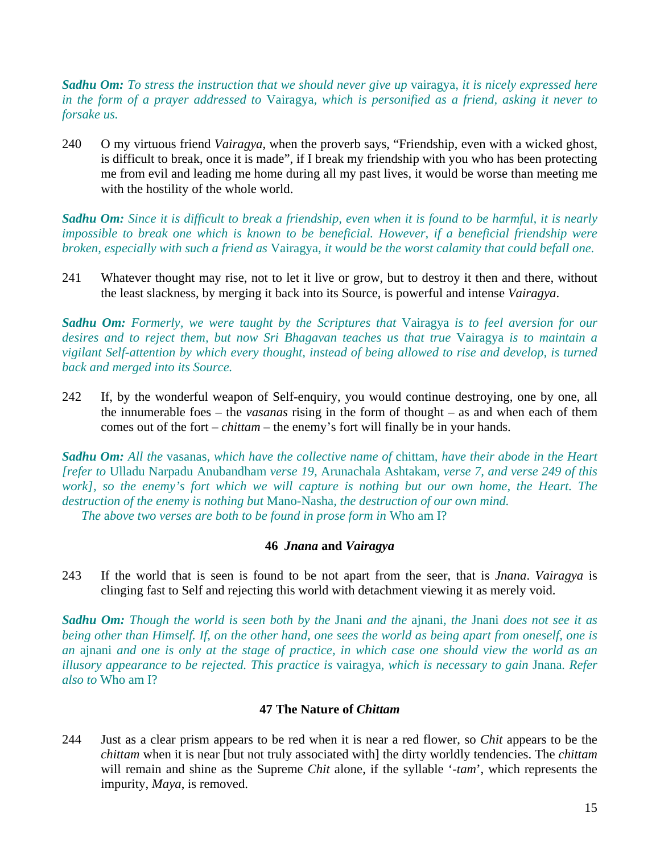*Sadhu Om: To stress the instruction that we should never give up* vairagya*, it is nicely expressed here in the form of a prayer addressed to* Vairagya*, which is personified as a friend, asking it never to forsake us.* 

240 O my virtuous friend *Vairagya*, when the proverb says, "Friendship, even with a wicked ghost, is difficult to break, once it is made", if I break my friendship with you who has been protecting me from evil and leading me home during all my past lives, it would be worse than meeting me with the hostility of the whole world.

*Sadhu Om: Since it is difficult to break a friendship, even when it is found to be harmful, it is nearly impossible to break one which is known to be beneficial. However, if a beneficial friendship were broken, especially with such a friend as* Vairagya*, it would be the worst calamity that could befall one.* 

241 Whatever thought may rise, not to let it live or grow, but to destroy it then and there, without the least slackness, by merging it back into its Source, is powerful and intense *Vairagya*.

*Sadhu Om: Formerly, we were taught by the Scriptures that* Vairagya *is to feel aversion for our desires and to reject them, but now Sri Bhagavan teaches us that true* Vairagya *is to maintain a vigilant Self-attention by which every thought, instead of being allowed to rise and develop, is turned back and merged into its Source.* 

242 If, by the wonderful weapon of Self-enquiry, you would continue destroying, one by one, all the innumerable foes – the *vasanas* rising in the form of thought – as and when each of them comes out of the fort – *chittam* – the enemy's fort will finally be in your hands.

*Sadhu Om: All the* vasanas*, which have the collective name of* chittam*, have their abode in the Heart [refer to* Ulladu Narpadu Anubandham *verse 19,* Arunachala Ashtakam*, verse 7, and verse 249 of this work], so the enemy's fort which we will capture is nothing but our own home, the Heart. The destruction of the enemy is nothing but* Mano-Nasha*, the destruction of our own mind. The* a*bove two verses are both to be found in prose form in* Who am I?

## **46** *Jnana* **and** *Vairagya*

243 If the world that is seen is found to be not apart from the seer, that is *Jnana*. *Vairagya* is clinging fast to Self and rejecting this world with detachment viewing it as merely void.

*Sadhu Om: Though the world is seen both by the* Jnani *and the* ajnani*, the* Jnani *does not see it as being other than Himself. If, on the other hand, one sees the world as being apart from oneself, one is an* ajnani *and one is only at the stage of practice, in which case one should view the world as an illusory appearance to be rejected. This practice is* vairagya*, which is necessary to gain* Jnana*. Refer also to* Who am I?

## **47 The Nature of** *Chittam*

244 Just as a clear prism appears to be red when it is near a red flower, so *Chit* appears to be the *chittam* when it is near [but not truly associated with] the dirty worldly tendencies. The *chittam* will remain and shine as the Supreme *Chit* alone, if the syllable '-*tam*', which represents the impurity, *Maya*, is removed.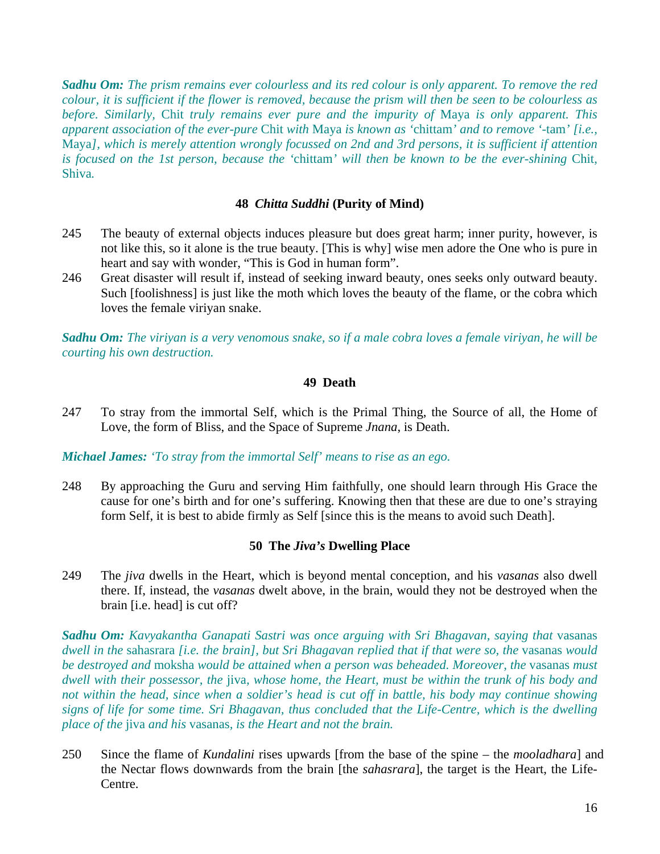*Sadhu Om: The prism remains ever colourless and its red colour is only apparent. To remove the red colour, it is sufficient if the flower is removed, because the prism will then be seen to be colourless as before. Similarly,* Chit *truly remains ever pure and the impurity of* Maya *is only apparent. This apparent association of the ever-pure* Chit *with* Maya *is known as '*chittam*' and to remove '-*tam*' [i.e.,*  Maya*], which is merely attention wrongly focussed on 2nd and 3rd persons, it is sufficient if attention is focused on the 1st person, because the '*chittam*' will then be known to be the ever-shining* Chit*,*  Shiva*.* 

## **48** *Chitta Suddhi* **(Purity of Mind)**

- 245 The beauty of external objects induces pleasure but does great harm; inner purity, however, is not like this, so it alone is the true beauty. [This is why] wise men adore the One who is pure in heart and say with wonder, "This is God in human form".
- 246 Great disaster will result if, instead of seeking inward beauty, ones seeks only outward beauty. Such [foolishness] is just like the moth which loves the beauty of the flame, or the cobra which loves the female viriyan snake.

*Sadhu Om: The viriyan is a very venomous snake, so if a male cobra loves a female viriyan, he will be courting his own destruction.* 

## **49 Death**

247 To stray from the immortal Self, which is the Primal Thing, the Source of all, the Home of Love, the form of Bliss, and the Space of Supreme *Jnana*, is Death.

# *Michael James: 'To stray from the immortal Self' means to rise as an ego.*

248 By approaching the Guru and serving Him faithfully, one should learn through His Grace the cause for one's birth and for one's suffering. Knowing then that these are due to one's straying form Self, it is best to abide firmly as Self [since this is the means to avoid such Death].

# **50 The** *Jiva's* **Dwelling Place**

249 The *jiva* dwells in the Heart, which is beyond mental conception, and his *vasanas* also dwell there. If, instead, the *vasanas* dwelt above, in the brain, would they not be destroyed when the brain [i.e. head] is cut off?

*Sadhu Om: Kavyakantha Ganapati Sastri was once arguing with Sri Bhagavan, saying that* vasanas *dwell in the* sahasrara *[i.e. the brain], but Sri Bhagavan replied that if that were so, the* vasanas *would be destroyed and* moksha *would be attained when a person was beheaded. Moreover, the* vasanas *must dwell with their possessor, the* jiva*, whose home, the Heart, must be within the trunk of his body and not within the head, since when a soldier's head is cut off in battle, his body may continue showing signs of life for some time. Sri Bhagavan, thus concluded that the Life-Centre, which is the dwelling place of the* jiva *and his* vasanas*, is the Heart and not the brain.* 

250 Since the flame of *Kundalini* rises upwards [from the base of the spine – the *mooladhara*] and the Nectar flows downwards from the brain [the *sahasrara*], the target is the Heart, the Life-Centre.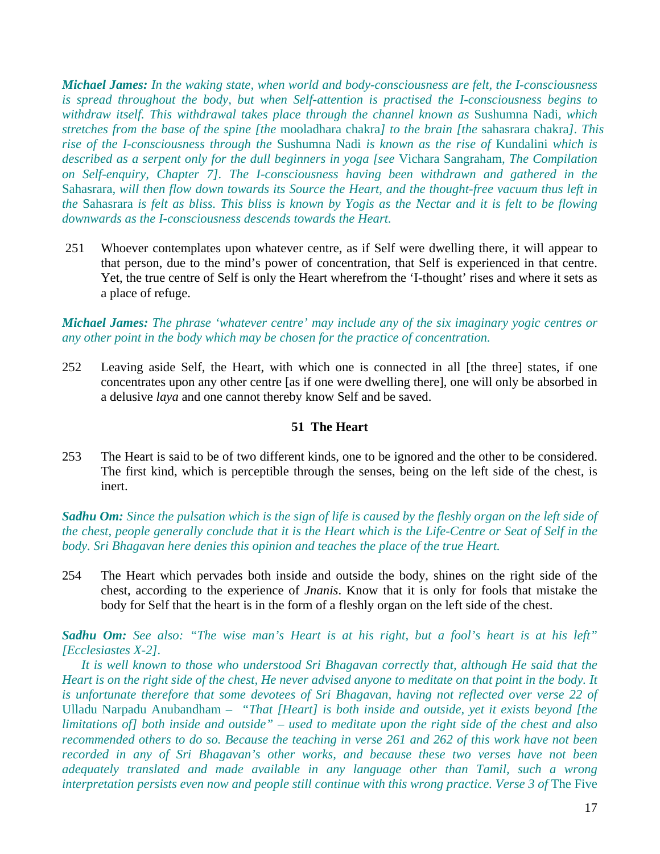*Michael James: In the waking state, when world and body-consciousness are felt, the I-consciousness is spread throughout the body, but when Self-attention is practised the I-consciousness begins to withdraw itself. This withdrawal takes place through the channel known as* Sushumna Nadi*, which stretches from the base of the spine [the* mooladhara chakra*] to the brain [the* sahasrara chakra*]. This rise of the I-consciousness through the* Sushumna Nadi *is known as the rise of* Kundalini *which is described as a serpent only for the dull beginners in yoga [see* Vichara Sangraham*, The Compilation on Self-enquiry, Chapter 7]. The I-consciousness having been withdrawn and gathered in the*  Sahasrara*, will then flow down towards its Source the Heart, and the thought-free vacuum thus left in the* Sahasrara *is felt as bliss. This bliss is known by Yogis as the Nectar and it is felt to be flowing downwards as the I-consciousness descends towards the Heart.* 

251 Whoever contemplates upon whatever centre, as if Self were dwelling there, it will appear to that person, due to the mind's power of concentration, that Self is experienced in that centre. Yet, the true centre of Self is only the Heart wherefrom the 'I-thought' rises and where it sets as a place of refuge.

*Michael James: The phrase 'whatever centre' may include any of the six imaginary yogic centres or any other point in the body which may be chosen for the practice of concentration.* 

252 Leaving aside Self, the Heart, with which one is connected in all [the three] states, if one concentrates upon any other centre [as if one were dwelling there], one will only be absorbed in a delusive *laya* and one cannot thereby know Self and be saved.

### **51 The Heart**

253 The Heart is said to be of two different kinds, one to be ignored and the other to be considered. The first kind, which is perceptible through the senses, being on the left side of the chest, is inert.

*Sadhu Om: Since the pulsation which is the sign of life is caused by the fleshly organ on the left side of the chest, people generally conclude that it is the Heart which is the Life-Centre or Seat of Self in the body. Sri Bhagavan here denies this opinion and teaches the place of the true Heart.* 

254 The Heart which pervades both inside and outside the body, shines on the right side of the chest, according to the experience of *Jnanis*. Know that it is only for fools that mistake the body for Self that the heart is in the form of a fleshly organ on the left side of the chest.

*Sadhu Om: See also: "The wise man's Heart is at his right, but a fool's heart is at his left" [Ecclesiastes X-2].* 

*It is well known to those who understood Sri Bhagavan correctly that, although He said that the Heart is on the right side of the chest, He never advised anyone to meditate on that point in the body. It is unfortunate therefore that some devotees of Sri Bhagavan, having not reflected over verse 22 of*  Ulladu Narpadu Anubandham *– "That [Heart] is both inside and outside, yet it exists beyond [the limitations of] both inside and outside" – used to meditate upon the right side of the chest and also recommended others to do so. Because the teaching in verse 261 and 262 of this work have not been recorded in any of Sri Bhagavan's other works, and because these two verses have not been adequately translated and made available in any language other than Tamil, such a wrong interpretation persists even now and people still continue with this wrong practice. Verse 3 of The Five*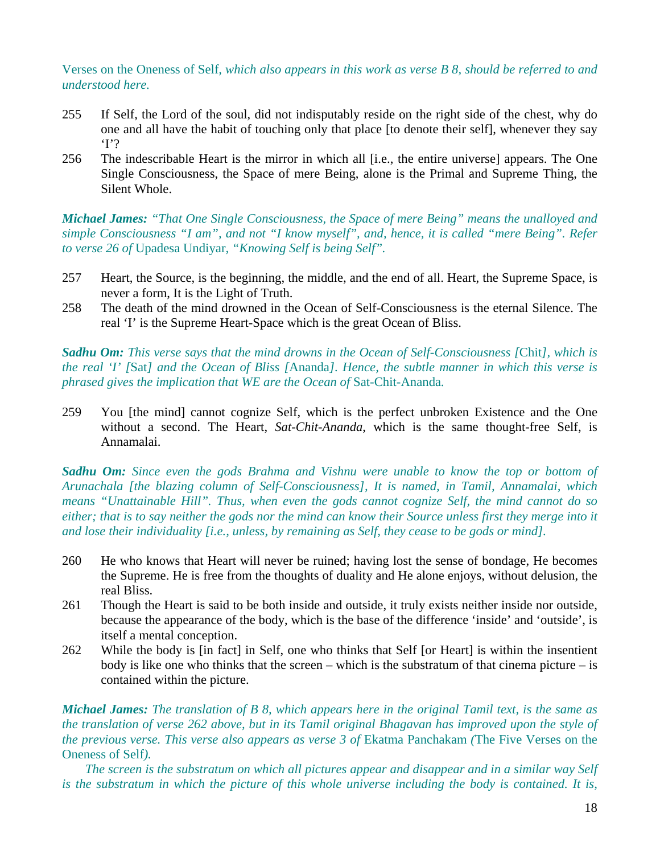Verses on the Oneness of Self*, which also appears in this work as verse B 8, should be referred to and understood here.* 

- 255 If Self, the Lord of the soul, did not indisputably reside on the right side of the chest, why do one and all have the habit of touching only that place [to denote their self], whenever they say  $\mathbf{Y}$ ?
- 256 The indescribable Heart is the mirror in which all [i.e., the entire universe] appears. The One Single Consciousness, the Space of mere Being, alone is the Primal and Supreme Thing, the Silent Whole.

*Michael James: "That One Single Consciousness, the Space of mere Being" means the unalloyed and simple Consciousness "I am", and not "I know myself", and, hence, it is called "mere Being". Refer to verse 26 of* Upadesa Undiyar*, "Knowing Self is being Self".* 

- 257 Heart, the Source, is the beginning, the middle, and the end of all. Heart, the Supreme Space, is never a form, It is the Light of Truth.
- 258 The death of the mind drowned in the Ocean of Self-Consciousness is the eternal Silence. The real 'I' is the Supreme Heart-Space which is the great Ocean of Bliss.

*Sadhu Om: This verse says that the mind drowns in the Ocean of Self-Consciousness [*Chit*], which is the real 'I' [*Sat*] and the Ocean of Bliss [*Ananda*]. Hence, the subtle manner in which this verse is phrased gives the implication that WE are the Ocean of* Sat-Chit-Ananda*.* 

259 You [the mind] cannot cognize Self, which is the perfect unbroken Existence and the One without a second. The Heart, *Sat-Chit-Ananda*, which is the same thought-free Self, is Annamalai.

*Sadhu Om: Since even the gods Brahma and Vishnu were unable to know the top or bottom of Arunachala [the blazing column of Self-Consciousness], It is named, in Tamil, Annamalai, which means "Unattainable Hill". Thus, when even the gods cannot cognize Self, the mind cannot do so either; that is to say neither the gods nor the mind can know their Source unless first they merge into it and lose their individuality [i.e., unless, by remaining as Self, they cease to be gods or mind].* 

- 260 He who knows that Heart will never be ruined; having lost the sense of bondage, He becomes the Supreme. He is free from the thoughts of duality and He alone enjoys, without delusion, the real Bliss.
- 261 Though the Heart is said to be both inside and outside, it truly exists neither inside nor outside, because the appearance of the body, which is the base of the difference 'inside' and 'outside', is itself a mental conception.
- 262 While the body is [in fact] in Self, one who thinks that Self [or Heart] is within the insentient body is like one who thinks that the screen – which is the substratum of that cinema picture – is contained within the picture.

*Michael James: The translation of B 8, which appears here in the original Tamil text, is the same as the translation of verse 262 above, but in its Tamil original Bhagavan has improved upon the style of the previous verse. This verse also appears as verse 3 of* Ekatma Panchakam *(*The Five Verses on the Oneness of Self*).*

*The screen is the substratum on which all pictures appear and disappear and in a similar way Self is the substratum in which the picture of this whole universe including the body is contained. It is,*